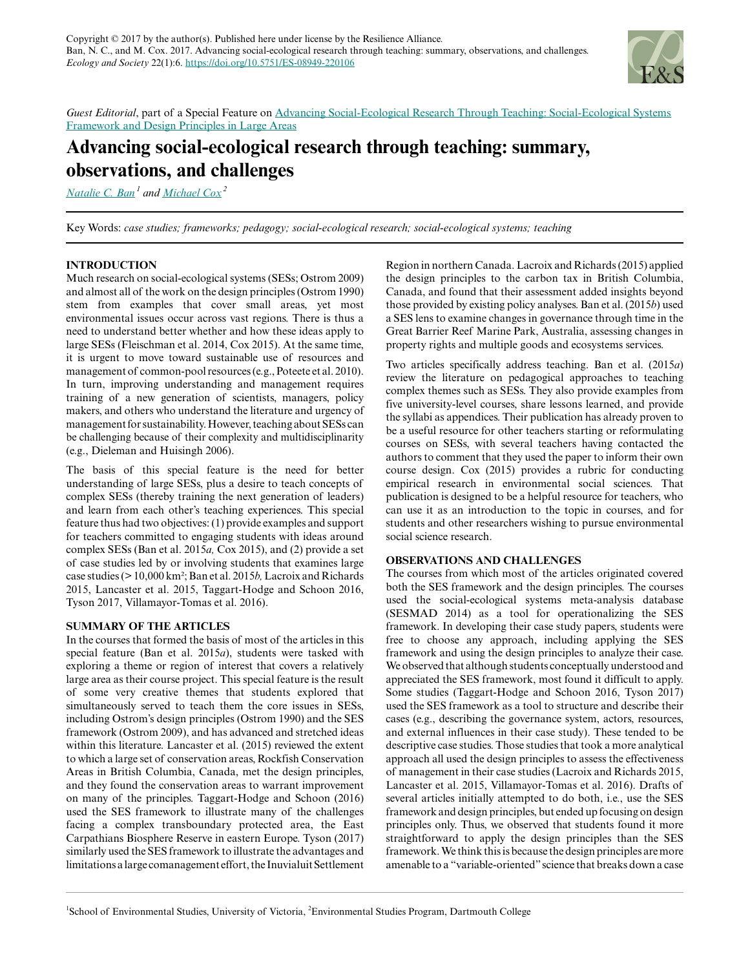

*Guest Editorial*, part of a Special Feature on [Advancing Social-Ecological Research Through Teaching: Social-Ecological Systems](http://www.ecologyandsociety.org/viewissue.php?sf=107) [Framework and Design Principles in Large Areas](http://www.ecologyandsociety.org/viewissue.php?sf=107)

# **Advancing social-ecological research through teaching: summary, observations, and challenges**

*[Natalie C. Ban](mailto:nban@uvic.ca)<sup>1</sup> and [Michael Cox](mailto:michael.e.cox@dartmouth.edu)<sup>2</sup>*

Key Words: *case studies; frameworks; pedagogy; social-ecological research; social-ecological systems; teaching*

# **INTRODUCTION**

Much research on social-ecological systems (SESs; Ostrom 2009) and almost all of the work on the design principles (Ostrom 1990) stem from examples that cover small areas, yet most environmental issues occur across vast regions. There is thus a need to understand better whether and how these ideas apply to large SESs (Fleischman et al. 2014, Cox 2015). At the same time, it is urgent to move toward sustainable use of resources and management of common-pool resources (e.g., Poteete et al. 2010). In turn, improving understanding and management requires training of a new generation of scientists, managers, policy makers, and others who understand the literature and urgency of management for sustainability. However, teaching about SESs can be challenging because of their complexity and multidisciplinarity (e.g., Dieleman and Huisingh 2006).

The basis of this special feature is the need for better understanding of large SESs, plus a desire to teach concepts of complex SESs (thereby training the next generation of leaders) and learn from each other's teaching experiences. This special feature thus had two objectives: (1) provide examples and support for teachers committed to engaging students with ideas around complex SESs (Ban et al. 2015*a,* Cox 2015), and (2) provide a set of case studies led by or involving students that examines large case studies (> 10,000 km²; Ban et al. 2015*b,* Lacroix and Richards 2015, Lancaster et al. 2015, Taggart-Hodge and Schoon 2016, Tyson 2017, Villamayor-Tomas et al. 2016).

## **SUMMARY OF THE ARTICLES**

In the courses that formed the basis of most of the articles in this special feature (Ban et al. 2015*a*), students were tasked with exploring a theme or region of interest that covers a relatively large area as their course project. This special feature is the result of some very creative themes that students explored that simultaneously served to teach them the core issues in SESs, including Ostrom's design principles (Ostrom 1990) and the SES framework (Ostrom 2009), and has advanced and stretched ideas within this literature. Lancaster et al. (2015) reviewed the extent to which a large set of conservation areas, Rockfish Conservation Areas in British Columbia, Canada, met the design principles, and they found the conservation areas to warrant improvement on many of the principles. Taggart-Hodge and Schoon (2016) used the SES framework to illustrate many of the challenges facing a complex transboundary protected area, the East Carpathians Biosphere Reserve in eastern Europe. Tyson (2017) similarly used the SES framework to illustrate the advantages and limitations a large comanagement effort, the Inuvialuit Settlement Region in northern Canada. Lacroix and Richards (2015) applied the design principles to the carbon tax in British Columbia, Canada, and found that their assessment added insights beyond those provided by existing policy analyses. Ban et al. (2015*b*) used a SES lens to examine changes in governance through time in the Great Barrier Reef Marine Park, Australia, assessing changes in property rights and multiple goods and ecosystems services.

Two articles specifically address teaching. Ban et al. (2015*a*) review the literature on pedagogical approaches to teaching complex themes such as SESs. They also provide examples from five university-level courses, share lessons learned, and provide the syllabi as appendices. Their publication has already proven to be a useful resource for other teachers starting or reformulating courses on SESs, with several teachers having contacted the authors to comment that they used the paper to inform their own course design. Cox (2015) provides a rubric for conducting empirical research in environmental social sciences. That publication is designed to be a helpful resource for teachers, who can use it as an introduction to the topic in courses, and for students and other researchers wishing to pursue environmental social science research.

# **OBSERVATIONS AND CHALLENGES**

The courses from which most of the articles originated covered both the SES framework and the design principles. The courses used the social-ecological systems meta-analysis database (SESMAD 2014) as a tool for operationalizing the SES framework. In developing their case study papers, students were free to choose any approach, including applying the SES framework and using the design principles to analyze their case. We observed that although students conceptually understood and appreciated the SES framework, most found it difficult to apply. Some studies (Taggart-Hodge and Schoon 2016, Tyson 2017) used the SES framework as a tool to structure and describe their cases (e.g., describing the governance system, actors, resources, and external influences in their case study). These tended to be descriptive case studies. Those studies that took a more analytical approach all used the design principles to assess the effectiveness of management in their case studies (Lacroix and Richards 2015, Lancaster et al. 2015, Villamayor-Tomas et al. 2016). Drafts of several articles initially attempted to do both, i.e., use the SES framework and design principles, but ended up focusing on design principles only. Thus, we observed that students found it more straightforward to apply the design principles than the SES framework. We think this is because the design principles are more amenable to a "variable-oriented" science that breaks down a case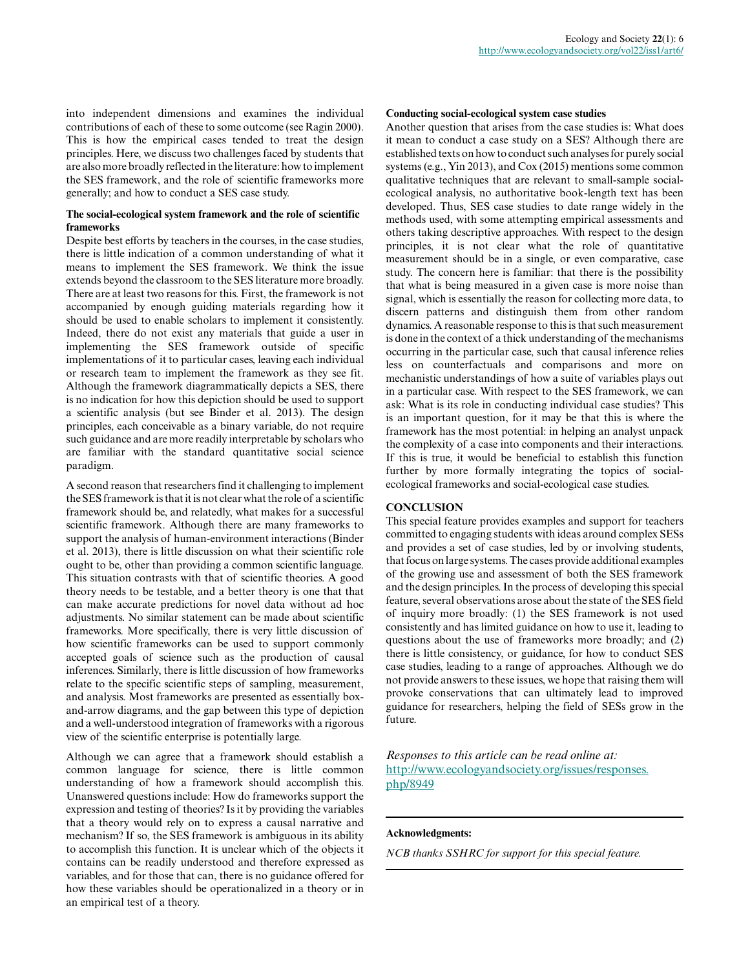into independent dimensions and examines the individual contributions of each of these to some outcome (see Ragin 2000). This is how the empirical cases tended to treat the design principles. Here, we discuss two challenges faced by students that are also more broadly reflected in the literature: how to implement the SES framework, and the role of scientific frameworks more generally; and how to conduct a SES case study.

## **The social-ecological system framework and the role of scientific frameworks**

Despite best efforts by teachers in the courses, in the case studies, there is little indication of a common understanding of what it means to implement the SES framework. We think the issue extends beyond the classroom to the SES literature more broadly. There are at least two reasons for this. First, the framework is not accompanied by enough guiding materials regarding how it should be used to enable scholars to implement it consistently. Indeed, there do not exist any materials that guide a user in implementing the SES framework outside of specific implementations of it to particular cases, leaving each individual or research team to implement the framework as they see fit. Although the framework diagrammatically depicts a SES, there is no indication for how this depiction should be used to support a scientific analysis (but see Binder et al. 2013). The design principles, each conceivable as a binary variable, do not require such guidance and are more readily interpretable by scholars who are familiar with the standard quantitative social science paradigm.

A second reason that researchers find it challenging to implement the SES framework is that it is not clear what the role of a scientific framework should be, and relatedly, what makes for a successful scientific framework. Although there are many frameworks to support the analysis of human-environment interactions (Binder et al. 2013), there is little discussion on what their scientific role ought to be, other than providing a common scientific language. This situation contrasts with that of scientific theories. A good theory needs to be testable, and a better theory is one that that can make accurate predictions for novel data without ad hoc adjustments. No similar statement can be made about scientific frameworks. More specifically, there is very little discussion of how scientific frameworks can be used to support commonly accepted goals of science such as the production of causal inferences. Similarly, there is little discussion of how frameworks relate to the specific scientific steps of sampling, measurement, and analysis. Most frameworks are presented as essentially boxand-arrow diagrams, and the gap between this type of depiction and a well-understood integration of frameworks with a rigorous view of the scientific enterprise is potentially large.

Although we can agree that a framework should establish a common language for science, there is little common understanding of how a framework should accomplish this. Unanswered questions include: How do frameworks support the expression and testing of theories? Is it by providing the variables that a theory would rely on to express a causal narrative and mechanism? If so, the SES framework is ambiguous in its ability to accomplish this function. It is unclear which of the objects it contains can be readily understood and therefore expressed as variables, and for those that can, there is no guidance offered for how these variables should be operationalized in a theory or in an empirical test of a theory.

## **Conducting social-ecological system case studies**

Another question that arises from the case studies is: What does it mean to conduct a case study on a SES? Although there are established texts on how to conduct such analyses for purely social systems (e.g., Yin 2013), and Cox (2015) mentions some common qualitative techniques that are relevant to small-sample socialecological analysis, no authoritative book-length text has been developed. Thus, SES case studies to date range widely in the methods used, with some attempting empirical assessments and others taking descriptive approaches. With respect to the design principles, it is not clear what the role of quantitative measurement should be in a single, or even comparative, case study. The concern here is familiar: that there is the possibility that what is being measured in a given case is more noise than signal, which is essentially the reason for collecting more data, to discern patterns and distinguish them from other random dynamics. A reasonable response to this is that such measurement is done in the context of a thick understanding of the mechanisms occurring in the particular case, such that causal inference relies less on counterfactuals and comparisons and more on mechanistic understandings of how a suite of variables plays out in a particular case. With respect to the SES framework, we can ask: What is its role in conducting individual case studies? This is an important question, for it may be that this is where the framework has the most potential: in helping an analyst unpack the complexity of a case into components and their interactions. If this is true, it would be beneficial to establish this function further by more formally integrating the topics of socialecological frameworks and social-ecological case studies.

#### **CONCLUSION**

This special feature provides examples and support for teachers committed to engaging students with ideas around complex SESs and provides a set of case studies, led by or involving students, that focus on large systems. The cases provide additional examples of the growing use and assessment of both the SES framework and the design principles. In the process of developing this special feature, several observations arose about the state of the SES field of inquiry more broadly: (1) the SES framework is not used consistently and has limited guidance on how to use it, leading to questions about the use of frameworks more broadly; and (2) there is little consistency, or guidance, for how to conduct SES case studies, leading to a range of approaches. Although we do not provide answers to these issues, we hope that raising them will provoke conservations that can ultimately lead to improved guidance for researchers, helping the field of SESs grow in the future.

*Responses to this article can be read online at:* [http://www.ecologyandsociety.org/issues/responses.](http://www.ecologyandsociety.org/issues/responses.php/8949) [php/8949](http://www.ecologyandsociety.org/issues/responses.php/8949)

#### **Acknowledgments:**

*NCB thanks SSHRC for support for this special feature.*